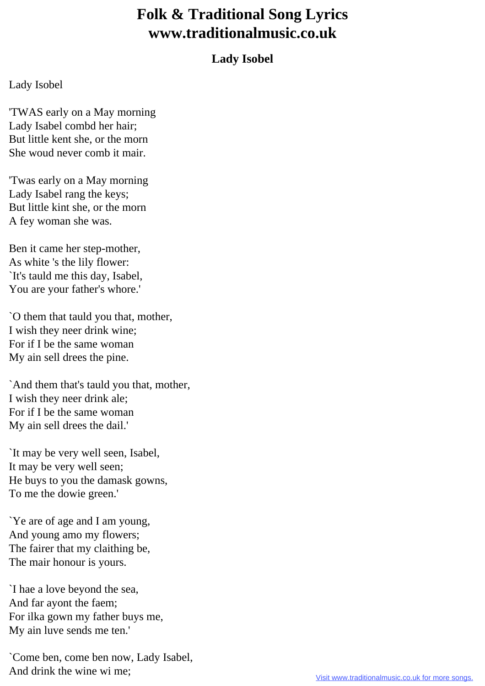## **Folk & Traditional Song Lyrics www.traditionalmusic.co.uk**

## **Lady Isobel**

## Lady Isobel

'TWAS early on a May morning Lady Isabel combd her hair; But little kent she, or the morn She woud never comb it mair.

'Twas early on a May morning Lady Isabel rang the keys; But little kint she, or the morn A fey woman she was.

Ben it came her step-mother, As white 's the lily flower: `It's tauld me this day, Isabel, You are your father's whore.'

`O them that tauld you that, mother, I wish they neer drink wine; For if I be the same woman My ain sell drees the pine.

`And them that's tauld you that, mother, I wish they neer drink ale; For if I be the same woman My ain sell drees the dail.'

`It may be very well seen, Isabel, It may be very well seen; He buys to you the damask gowns, To me the dowie green.'

`Ye are of age and I am young, And young amo my flowers; The fairer that my claithing be, The mair honour is yours.

`I hae a love beyond the sea, And far ayont the faem; For ilka gown my father buys me, My ain luve sends me ten.'

`Come ben, come ben now, Lady Isabel, And drink the wine wi me;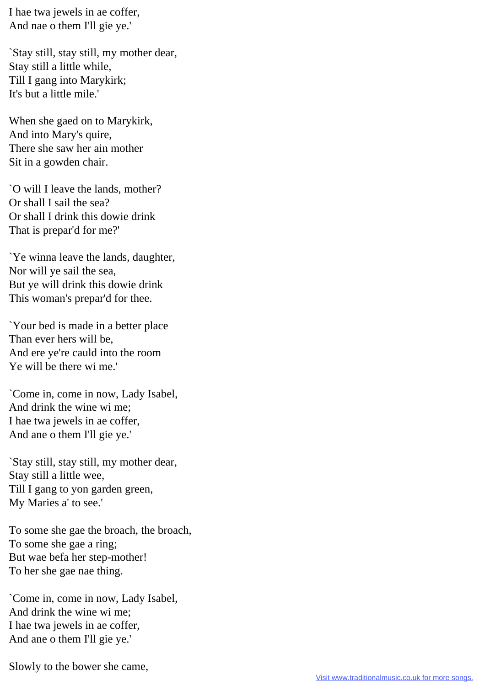I hae twa jewels in ae coffer, And nae o them I'll gie ye.'

`Stay still, stay still, my mother dear, Stay still a little while, Till I gang into Marykirk; It's but a little mile.'

When she gaed on to Marykirk, And into Mary's quire, There she saw her ain mother Sit in a gowden chair.

`O will I leave the lands, mother? Or shall I sail the sea? Or shall I drink this dowie drink That is prepar'd for me?'

`Ye winna leave the lands, daughter, Nor will ye sail the sea, But ye will drink this dowie drink This woman's prepar'd for thee.

`Your bed is made in a better place Than ever hers will be, And ere ye're cauld into the room Ye will be there wi me.'

`Come in, come in now, Lady Isabel, And drink the wine wi me; I hae twa jewels in ae coffer, And ane o them I'll gie ye.'

`Stay still, stay still, my mother dear, Stay still a little wee, Till I gang to yon garden green, My Maries a' to see.'

To some she gae the broach, the broach, To some she gae a ring; But wae befa her step-mother! To her she gae nae thing.

`Come in, come in now, Lady Isabel, And drink the wine wi me; I hae twa jewels in ae coffer, And ane o them I'll gie ye.'

Slowly to the bower she came,